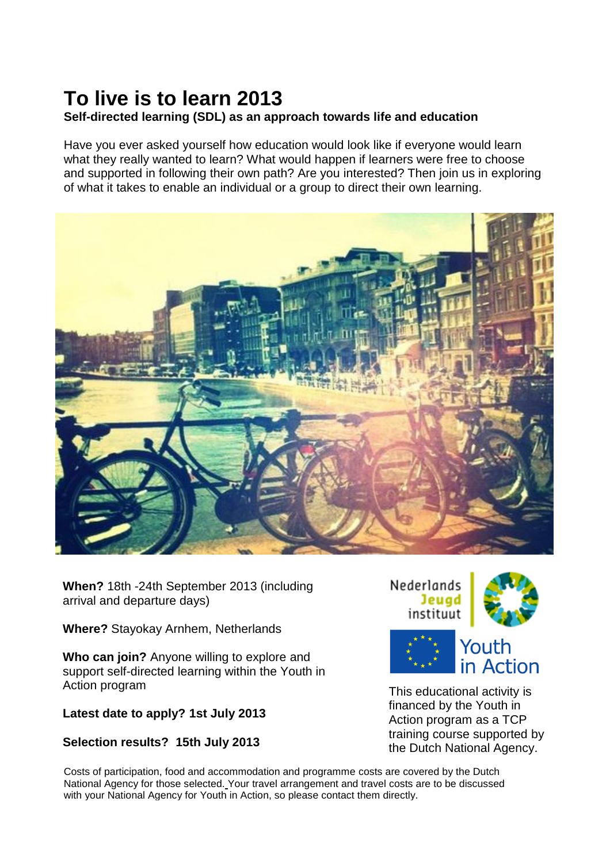# **To live is to learn 2013**

#### **Self-directed learning (SDL) as an approach towards life and education**

Have you ever asked yourself how education would look like if everyone would learn what they really wanted to learn? What would happen if learners were free to choose and supported in following their own path? Are you interested? Then join us in exploring of what it takes to enable an individual or a group to direct their own learning.



**When?** 18th -24th September 2013 (including arrival and departure days)

**Where?** Stayokay Arnhem, Netherlands

**Who can join?** Anyone willing to explore and support self-directed learning within the Youth in Action program

#### **Latest date to apply? 1st July 2013**

#### **Selection results? 15th July 2013**

Costs of participation, food and accommodation and programme costs are covered by the Dutch National Agency for those selected. Your travel arrangement and travel costs are to be discussed with your National Agency for Youth in Action, so please contact them directly.



Youth in Action

This educational activity is financed by the Youth in Action program as a TCP training course supported by the Dutch National Agency.